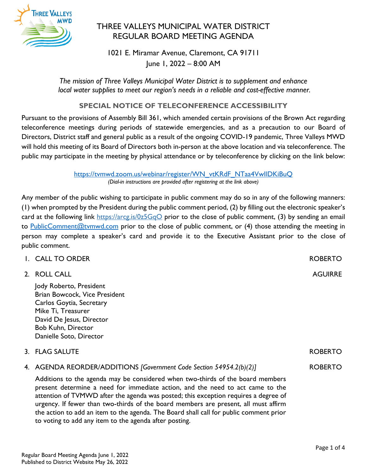

# THREE VALLEYS MUNICIPAL WATER DISTRICT REGULAR BOARD MEETING AGENDA

1021 E. Miramar Avenue, Claremont, CA 91711 June 1, 2022 – 8:00 AM

*The mission of Three Valleys Municipal Water District is to supplement and enhance local water supplies to meet our region's needs in a reliable and cost-effective manner.*

# **SPECIAL NOTICE OF TELECONFERENCE ACCESSIBILITY**

Pursuant to the provisions of Assembly Bill 361, which amended certain provisions of the Brown Act regarding teleconference meetings during periods of statewide emergencies, and as a precaution to our Board of Directors, District staff and general public as a result of the ongoing COVID-19 pandemic, Three Valleys MWD will hold this meeting of its Board of Directors both in-person at the above location and via teleconference. The public may participate in the meeting by physical attendance or by teleconference by clicking on the link below:

> https://tvmwd.zoom.us/webinar/register/WN\_vtKRdF\_NTaa4VwIIDKiBuQ *(Dial-in instructions are provided after registering at the link above)*

Any member of the public wishing to participate in public comment may do so in any of the following manners: (1) when prompted by the President during the public comment period, (2) by filling out the electronic speaker's card at the following link<https://arcg.is/0z5GqO> prior to the close of public comment, (3) by sending an email to [PublicComment@tvmwd.com](mailto:PublicComment@tvmwd.com) prior to the close of public comment, or (4) those attending the meeting in person may complete a speaker's card and provide it to the Executive Assistant prior to the close of public comment.

| I. CALL TO ORDER                                                                                                                                                                                                                                                                                                                               | <b>ROBERTO</b> |
|------------------------------------------------------------------------------------------------------------------------------------------------------------------------------------------------------------------------------------------------------------------------------------------------------------------------------------------------|----------------|
| 2. ROLL CALL                                                                                                                                                                                                                                                                                                                                   | <b>AGUIRRE</b> |
| Jody Roberto, President<br>Brian Bowcock, Vice President<br>Carlos Goytia, Secretary<br>Mike Ti, Treasurer<br>David De Jesus, Director<br><b>Bob Kuhn, Director</b><br>Danielle Soto, Director                                                                                                                                                 |                |
| 3. FLAG SALUTE                                                                                                                                                                                                                                                                                                                                 | <b>ROBERTO</b> |
| 4. AGENDA REORDER/ADDITIONS [Government Code Section 54954.2(b)(2)]                                                                                                                                                                                                                                                                            | <b>ROBERTO</b> |
| Additions to the agenda may be considered when two-thirds of the board members<br>present determine a need for immediate action, and the need to act came to the<br>attention of TVMWD after the agenda was posted; this exception requires a degree of<br>urgency. If fewer than two-thirds of the board members are present, all must affirm |                |

the action to add an item to the agenda. The Board shall call for public comment prior

to voting to add any item to the agenda after posting.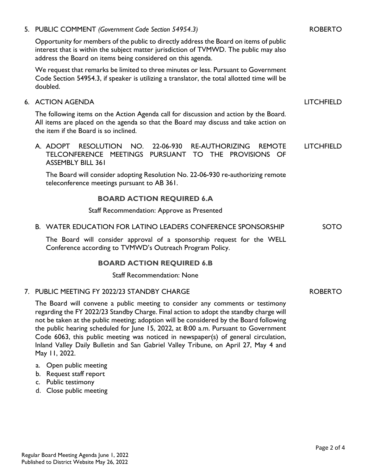#### 5. PUBLIC COMMENT *(Government Code Section 54954.3)*

Opportunity for members of the public to directly address the Board on items of public interest that is within the subject matter jurisdiction of TVMWD. The public may also address the Board on items being considered on this agenda.

We request that remarks be limited to three minutes or less. Pursuant to Government Code Section 54954.3, if speaker is utilizing a translator, the total allotted time will be doubled.

#### 6. ACTION AGENDA

The following items on the Action Agenda call for discussion and action by the Board. All items are placed on the agenda so that the Board may discuss and take action on the item if the Board is so inclined.

A. ADOPT RESOLUTION NO. 22-06-930 RE-AUTHORIZING REMOTE TELCONFERENCE MEETINGS PURSUANT TO THE PROVISIONS OF ASSEMBLY BILL 361 LITCHFIELD

The Board will consider adopting Resolution No. 22-06-930 re-authorizing remote teleconference meetings pursuant to AB 361.

## **BOARD ACTION REQUIRED 6.A**

Staff Recommendation: Approve as Presented

#### B. WATER EDUCATION FOR LATINO LEADERS CONFERENCE SPONSORSHIP SOTO

The Board will consider approval of a sponsorship request for the WELL Conference according to TVMWD's Outreach Program Policy.

## **BOARD ACTION REQUIRED 6.B**

Staff Recommendation: None

#### 7. PUBLIC MEETING FY 2022/23 STANDBY CHARGE

The Board will convene a public meeting to consider any comments or testimony regarding the FY 2022/23 Standby Charge. Final action to adopt the standby charge will not be taken at the public meeting; adoption will be considered by the Board following the public hearing scheduled for June 15, 2022, at 8:00 a.m. Pursuant to Government Code 6063, this public meeting was noticed in newspaper(s) of general circulation, Inland Valley Daily Bulletin and San Gabriel Valley Tribune, on April 27, May 4 and May 11, 2022.

- a. Open public meeting
- b. Request staff report
- c. Public testimony
- d. Close public meeting

LITCHFIELD

#### ROBERTO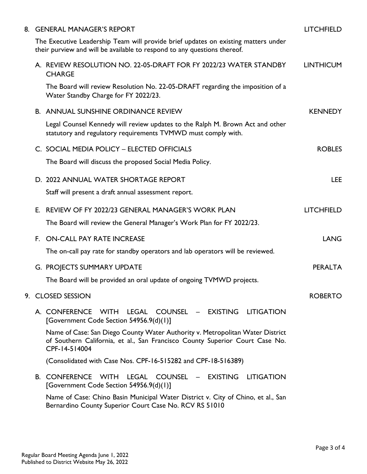|  | 8. GENERAL MANAGER'S REPORT                                                                                                                                                    | <b>LITCHFIELD</b> |
|--|--------------------------------------------------------------------------------------------------------------------------------------------------------------------------------|-------------------|
|  | The Executive Leadership Team will provide brief updates on existing matters under<br>their purview and will be available to respond to any questions thereof.                 |                   |
|  | A. REVIEW RESOLUTION NO. 22-05-DRAFT FOR FY 2022/23 WATER STANDBY<br><b>CHARGE</b>                                                                                             | <b>LINTHICUM</b>  |
|  | The Board will review Resolution No. 22-05-DRAFT regarding the imposition of a<br>Water Standby Charge for FY 2022/23.                                                         |                   |
|  | <b>B. ANNUAL SUNSHINE ORDINANCE REVIEW</b>                                                                                                                                     | <b>KENNEDY</b>    |
|  | Legal Counsel Kennedy will review updates to the Ralph M. Brown Act and other<br>statutory and regulatory requirements TVMWD must comply with.                                 |                   |
|  | C. SOCIAL MEDIA POLICY - ELECTED OFFICIALS                                                                                                                                     | <b>ROBLES</b>     |
|  | The Board will discuss the proposed Social Media Policy.                                                                                                                       |                   |
|  | D. 2022 ANNUAL WATER SHORTAGE REPORT                                                                                                                                           | <b>LEE</b>        |
|  | Staff will present a draft annual assessment report.                                                                                                                           |                   |
|  | E. REVIEW OF FY 2022/23 GENERAL MANAGER'S WORK PLAN                                                                                                                            | <b>LITCHFIELD</b> |
|  | The Board will review the General Manager's Work Plan for FY 2022/23.                                                                                                          |                   |
|  | F. ON-CALL PAY RATE INCREASE                                                                                                                                                   | <b>LANG</b>       |
|  | The on-call pay rate for standby operators and lab operators will be reviewed.                                                                                                 |                   |
|  | G. PROJECTS SUMMARY UPDATE                                                                                                                                                     | <b>PERALTA</b>    |
|  | The Board will be provided an oral update of ongoing TVMWD projects.                                                                                                           |                   |
|  | 9. CLOSED SESSION                                                                                                                                                              | <b>ROBERTO</b>    |
|  | A. CONFERENCE WITH<br>LEGAL COUNSEL - EXISTING LITIGATION<br>[Government Code Section 54956.9(d)(1)]                                                                           |                   |
|  | Name of Case: San Diego County Water Authority v. Metropolitan Water District<br>of Southern California, et al., San Francisco County Superior Court Case No.<br>CPF-14-514004 |                   |
|  | (Consolidated with Case Nos. CPF-16-515282 and CPF-18-516389)                                                                                                                  |                   |
|  | <b>B. CONFERENCE WITH</b><br>LEGAL COUNSEL –<br><b>EXISTING</b><br><b>LITIGATION</b><br>[Government Code Section 54956.9(d)(1)]                                                |                   |
|  | Name of Case: Chino Basin Municipal Water District v. City of Chino, et al., San<br>Bernardino County Superior Court Case No. RCV RS 51010                                     |                   |